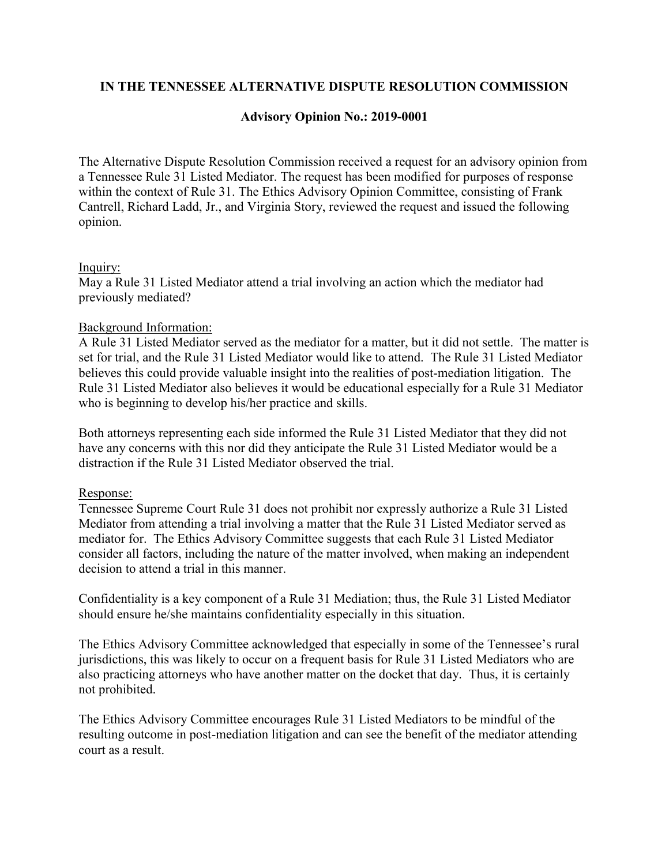# **IN THE TENNESSEE ALTERNATIVE DISPUTE RESOLUTION COMMISSION**

## **Advisory Opinion No.: 2019-0001**

The Alternative Dispute Resolution Commission received a request for an advisory opinion from a Tennessee Rule 31 Listed Mediator. The request has been modified for purposes of response within the context of Rule 31. The Ethics Advisory Opinion Committee, consisting of Frank Cantrell, Richard Ladd, Jr., and Virginia Story, reviewed the request and issued the following opinion.

### Inquiry:

May a Rule 31 Listed Mediator attend a trial involving an action which the mediator had previously mediated?

### Background Information:

A Rule 31 Listed Mediator served as the mediator for a matter, but it did not settle. The matter is set for trial, and the Rule 31 Listed Mediator would like to attend. The Rule 31 Listed Mediator believes this could provide valuable insight into the realities of post-mediation litigation. The Rule 31 Listed Mediator also believes it would be educational especially for a Rule 31 Mediator who is beginning to develop his/her practice and skills.

Both attorneys representing each side informed the Rule 31 Listed Mediator that they did not have any concerns with this nor did they anticipate the Rule 31 Listed Mediator would be a distraction if the Rule 31 Listed Mediator observed the trial.

### Response:

Tennessee Supreme Court Rule 31 does not prohibit nor expressly authorize a Rule 31 Listed Mediator from attending a trial involving a matter that the Rule 31 Listed Mediator served as mediator for. The Ethics Advisory Committee suggests that each Rule 31 Listed Mediator consider all factors, including the nature of the matter involved, when making an independent decision to attend a trial in this manner.

Confidentiality is a key component of a Rule 31 Mediation; thus, the Rule 31 Listed Mediator should ensure he/she maintains confidentiality especially in this situation.

The Ethics Advisory Committee acknowledged that especially in some of the Tennessee's rural jurisdictions, this was likely to occur on a frequent basis for Rule 31 Listed Mediators who are also practicing attorneys who have another matter on the docket that day. Thus, it is certainly not prohibited.

The Ethics Advisory Committee encourages Rule 31 Listed Mediators to be mindful of the resulting outcome in post-mediation litigation and can see the benefit of the mediator attending court as a result.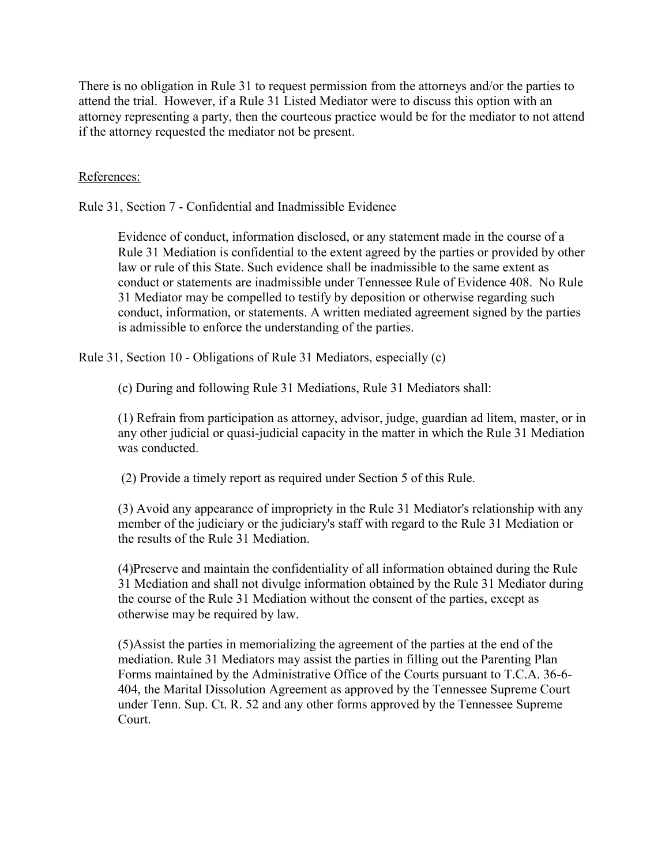There is no obligation in Rule 31 to request permission from the attorneys and/or the parties to attend the trial. However, if a Rule 31 Listed Mediator were to discuss this option with an attorney representing a party, then the courteous practice would be for the mediator to not attend if the attorney requested the mediator not be present.

References:

Rule 31, Section 7 - Confidential and Inadmissible Evidence

Evidence of conduct, information disclosed, or any statement made in the course of a Rule 31 Mediation is confidential to the extent agreed by the parties or provided by other law or rule of this State. Such evidence shall be inadmissible to the same extent as conduct or statements are inadmissible under Tennessee Rule of Evidence 408. No Rule 31 Mediator may be compelled to testify by deposition or otherwise regarding such conduct, information, or statements. A written mediated agreement signed by the parties is admissible to enforce the understanding of the parties.

Rule 31, Section 10 - Obligations of Rule 31 Mediators, especially (c)

(c) During and following Rule 31 Mediations, Rule 31 Mediators shall:

(1) Refrain from participation as attorney, advisor, judge, guardian ad litem, master, or in any other judicial or quasi-judicial capacity in the matter in which the Rule 31 Mediation was conducted.

(2) Provide a timely report as required under Section 5 of this Rule.

(3) Avoid any appearance of impropriety in the Rule 31 Mediator's relationship with any member of the judiciary or the judiciary's staff with regard to the Rule 31 Mediation or the results of the Rule 31 Mediation.

(4)Preserve and maintain the confidentiality of all information obtained during the Rule 31 Mediation and shall not divulge information obtained by the Rule 31 Mediator during the course of the Rule 31 Mediation without the consent of the parties, except as otherwise may be required by law.

(5)Assist the parties in memorializing the agreement of the parties at the end of the mediation. Rule 31 Mediators may assist the parties in filling out the Parenting Plan Forms maintained by the Administrative Office of the Courts pursuant to T.C.A. 36-6- 404, the Marital Dissolution Agreement as approved by the Tennessee Supreme Court under Tenn. Sup. Ct. R. 52 and any other forms approved by the Tennessee Supreme Court.